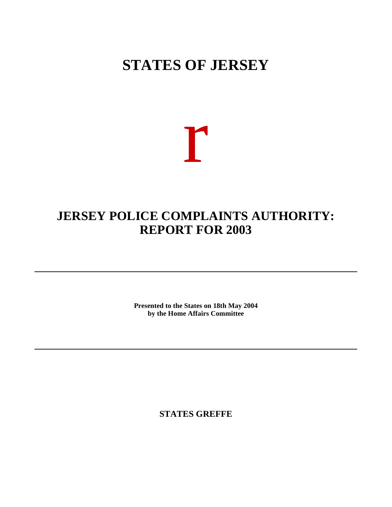## **STATES OF JERSEY**

# r

### **JERSEY POLICE COMPLAINTS AUTHORITY: REPORT FOR 2003**

**Presented to the States on 18th May 2004 by the Home Affairs Committee**

**STATES GREFFE**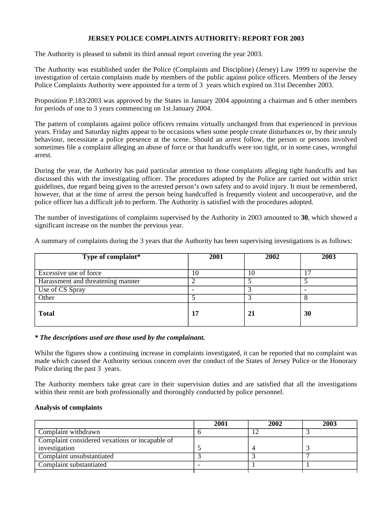#### **JERSEY POLICE COMPLAINTS AUTHORITY: REPORT FOR 2003**

The Authority is pleased to submit its third annual report covering the year 2003.

The Authority was established under the Police (Complaints and Discipline) (Jersey) Law 1999 to supervise the investigation of certain complaints made by members of the public against police officers. Members of the Jersey Police Complaints Authority were appointed for a term of 3 years which expired on 31st December 2003.

Proposition P.183/2003 was approved by the States in January 2004 appointing a chairman and 6 other members for periods of one to 3 years commencing on 1st January 2004.

The pattern of complaints against police officers remains virtually unchanged from that experienced in previous years. Friday and Saturday nights appear to be occasions when some people create disturbances or, by their unruly behaviour, necessitate a police presence at the scene. Should an arrest follow, the person or persons involved sometimes file a complaint alleging an abuse of force or that handcuffs were too tight, or in some cases, wrongful arrest.

During the year, the Authority has paid particular attention to those complaints alleging tight handcuffs and has discussed this with the investigating officer. The procedures adopted by the Police are carried out within strict guidelines, due regard being given to the arrested person's own safety and to avoid injury. It must be remembered, however, that at the time of arrest the person being handcuffed is frequently violent and uncooperative, and the police officer has a difficult job to perform. The Authority is satisfied with the procedures adopted.

The number of investigations of complaints supervised by the Authority in 2003 amounted to **30**, which showed a significant increase on the number the previous year.

A summary of complaints during the 3 years that the Authority has been supervising investigations is as follows:

| Type of complaint*                | 2001 | 2002 | 2003 |
|-----------------------------------|------|------|------|
| Excessive use of force            | 10   | 10   |      |
| Harassment and threatening manner |      |      |      |
| Use of CS Spray                   |      |      |      |
| Other                             |      |      |      |
| <b>Total</b>                      | 17   | 21   | 30   |

#### *\* The descriptions used are those used by the complainant.*

Whilst the figures show a continuing increase in complaints investigated, it can be reported that no complaint was made which caused the Authority serious concern over the conduct of the States of Jersey Police or the Honorary Police during the past 3 years.

The Authority members take great care in their supervision duties and are satisfied that all the investigations within their remit are both professionally and thoroughly conducted by police personnel.

#### **Analysis of complaints**

|                                                | 2001 | 2002 | 2003 |
|------------------------------------------------|------|------|------|
| Complaint withdrawn                            |      |      |      |
| Complaint considered vexatious or incapable of |      |      |      |
| investigation                                  |      |      |      |
| Complaint unsubstantiated                      |      |      |      |
| Complaint substantiated                        |      |      |      |
|                                                |      |      |      |